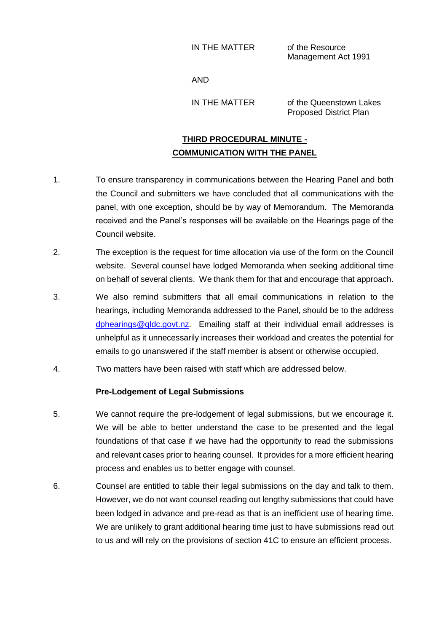IN THE MATTER of the Resource

Management Act 1991

AND

IN THE MATTER of the Queenstown Lakes Proposed District Plan

## **THIRD PROCEDURAL MINUTE - COMMUNICATION WITH THE PANEL**

- 1. To ensure transparency in communications between the Hearing Panel and both the Council and submitters we have concluded that all communications with the panel, with one exception, should be by way of Memorandum. The Memoranda received and the Panel's responses will be available on the Hearings page of the Council website.
- 2. The exception is the request for time allocation via use of the form on the Council website. Several counsel have lodged Memoranda when seeking additional time on behalf of several clients. We thank them for that and encourage that approach.
- 3. We also remind submitters that all email communications in relation to the hearings, including Memoranda addressed to the Panel, should be to the address [dphearings@qldc.govt.nz.](mailto:dphearings@qldc.govt.nz) Emailing staff at their individual email addresses is unhelpful as it unnecessarily increases their workload and creates the potential for emails to go unanswered if the staff member is absent or otherwise occupied.
- 4. Two matters have been raised with staff which are addressed below.

## **Pre-Lodgement of Legal Submissions**

- 5. We cannot require the pre-lodgement of legal submissions, but we encourage it. We will be able to better understand the case to be presented and the legal foundations of that case if we have had the opportunity to read the submissions and relevant cases prior to hearing counsel. It provides for a more efficient hearing process and enables us to better engage with counsel.
- 6. Counsel are entitled to table their legal submissions on the day and talk to them. However, we do not want counsel reading out lengthy submissions that could have been lodged in advance and pre-read as that is an inefficient use of hearing time. We are unlikely to grant additional hearing time just to have submissions read out to us and will rely on the provisions of section 41C to ensure an efficient process.